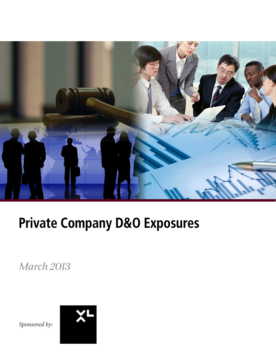

# Private Company D&O Exposures

*March 2013*

*Sponsored by:*

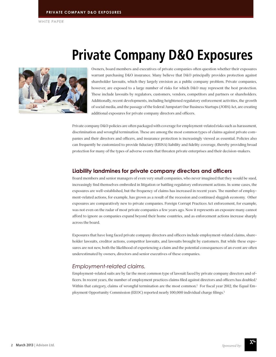# Private Company D&O Exposures

Owners, board members and executives of private companies often question whether their exposures warrant purchasing D&O insurance. Many believe that D&O principally provides protection against shareholder lawsuits, which they largely envision as a public company problem. Private companies, however, are exposed to a large number of risks for which D&O may represent the best protection. These include lawsuits by regulators, customers, vendors, competitors and partners or shareholders. Additionally, recent developments, including heightened regulatory enforcement activities, the growth of social media, and the passage of the federal Jumpstart Our Business Startups (JOBS) Act, are creating additional exposures for private company directors and officers.

Private company D&O policies are often packaged with coverage for employment-related risks such as harassment, discrimination and wrongful termination. These are among the most common types of claims against private companies and their directors and officers, and insurance protection is increasingly viewed as essential. Policies also can frequently be customized to provide fiduciary (ERISA) liability and fidelity coverage, thereby providing broad protection for many of the types of adverse events that threaten private enterprises and their decision-makers.

#### **Liability landmines for private company directors and officers**

Board members and senior managers of even very small companies, who never imagined that they would be sued, increasingly find themselves embroiled in litigation or battling regulatory enforcement actions. In some cases, the exposures are well-established, but the frequency of claims has increased in recent years. The number of employment-related actions, for example, has grown as a result of the recession and continued sluggish economy. Other exposures are comparatively new to private companies. Foreign Corrupt Practices Act enforcement, for example, was not even on the radar of most private companies a few years ago. Now it represents an exposure many cannot afford to ignore as companies expand beyond their home countries, and as enforcement actions increase sharply across the board.

Exposures that have long faced private company directors and officers include employment-related claims, shareholder lawsuits, creditor actions, competitor lawsuits, and lawsuits brought by customers. But while these exposures are not new, both the likelihood of experiencing a claim and the potential consequences of an event are often underestimated by owners, directors and senior executives of these companies.

#### *Employment-related claims.*

Employment-related suits are by far the most common type of lawsuit faced by private company directors and officers. In recent years, the number of employment practices claims filed against directors and officers has doubled.<sup>1</sup> Within that category, claims of wrongful termination are the most common.<sup>2</sup> For fiscal year 2012, the Equal Employment Opportunity Commission (EEOC) reported nearly 100,000 individual charge filings.<sup>3</sup>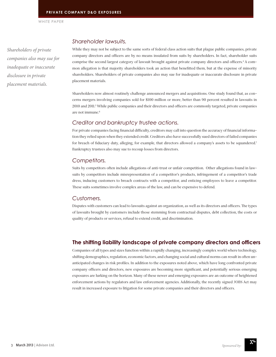*Shareholders of private companies also may sue for inadequate or inaccurate disclosure in private placement materials.*

#### *Shareholder lawsuits.*

While they may not be subject to the same sorts of federal class action suits that plague public companies, private company directors and officers are by no means insulated from suits by shareholders. In fact, shareholder suits comprise the second largest category of lawsuit brought against private company directors and officers.<sup>4</sup> A common allegation is that majority shareholders took an action that benefitted them, but at the expense of minority shareholders. Shareholders of private companies also may sue for inadequate or inaccurate disclosure in private placement materials.

Shareholders now almost routinely challenge announced mergers and acquisitions. One study found that, as concerns mergers involving companies sold for \$100 million or more, better than 90 percent resulted in lawsuits in 2010 and 2011.5 While public companies and their directors and officers are commonly targeted, private companies are not immune.6

#### *Creditor and bankruptcy trustee actions.*

For private companies facing financial difficulty, creditors may call into question the accuracy of financial information they relied upon when they extended credit. Creditors also have successfully sued directors of failed companies for breach of fiduciary duty, alleging, for example, that directors allowed a company's assets to be squandered.<sup>7</sup> Bankruptcy trustees also may sue to recoup losses from directors.

#### *Competitors.*

Suits by competitors often include allegations of anti-trust or unfair competition. Other allegations found in lawsuits by competitors include misrepresentation of a competitor's products, infringement of a competitor's trade dress, inducing customers to breach contracts with a competitor, and enticing employees to leave a competitor. These suits sometimes involve complex areas of the law, and can be expensive to defend.

#### *Customers.*

Disputes with customers can lead to lawsuits against an organization, as well as its directors and officers. The types of lawsuits brought by customers include those stemming from contractual disputes, debt collection, the costs or quality of products or services, refusal to extend credit, and discrimination.

#### **The shifting liability landscape of private company directors and officers**

Companies of all types and sizes function within a rapidly changing, increasingly complex world where technology, shifting demographics, regulation, economic factors, and changing social and cultural norms can result in often unanticipated changes in risk profiles. In addition to the exposures noted above, which have long confronted private company officers and directors, new exposures are becoming more significant, and potentially serious emerging exposures are lurking on the horizon. Many of these newer and emerging exposures are an outcome of heightened enforcement actions by regulators and law enforcement agencies. Additionally, the recently signed JOBS Act may result in increased exposure to litigation for some private companies and their directors and officers.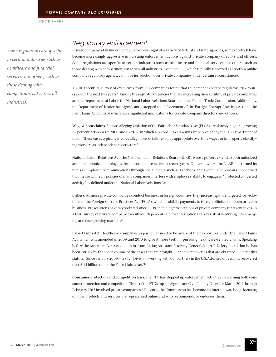*Some regulations are specific to certain industries such as healthcare and financial services, but others, such as those dealing with competition, cut across all industries.* 

## *Regulatory enforcement*

Private companies fall under the regulatory oversight of a variety of federal and state agencies, some of which have become increasingly aggressive in pursuing enforcement actions against private company directors and officers. Some regulations are specific to certain industries such as healthcare and financial services, but others, such as those dealing with competition, cut across all industries. Even the SEC, which typically is viewed as strictly a public company regulatory agency, can have jurisdiction over private companies under certain circumstances.

A 2011 Accenture survey of executives from 397 companies found that 89 percent expected regulatory risk to increase in the next two years.8 Among the regulatory agencies that are increasing their scrutiny of private companies are the Department of Labor, the National Labor Relations Board and the Federal Trade Commission. Additionally, the Department of Justice has significantly stepped up enforcement of the Foreign Corrupt Practices Act and the Fair Claims Act, both of which have significant implications for private company directors and officers.

**Wage & hour claims.** Actions alleging violation of the Fair Labor Standards Act (FLSA) are sharply higher – growing 33 percent between FY 2008 and FY 2012, in which a record 7,064 lawsuits were brought by the U.S. Department of Labor. These cases typically involve allegations of failure to pay appropriate overtime wages or improperly classifying workers as independent contractors.<sup>9</sup>

**National Labor Relations Act.** The National Labor Relations Board (NLRB), whose powers extend to both unionized and non-unionized employees, has become more active in recent years. One area where the NLRB has turned its focus is employee communications through social media such as Facebook and Twitter. The bureau is concerned that the social media policies of many companies interfere with employee's ability to engage in "protected concerted activity," as defined under the National Labor Relations Act.

**Bribery.** As more private companies conduct business in foreign countries, they increasingly are targeted for violations of the Foreign Corrupt Practices Act (FCPA), which prohibits payments to foreign officials to obtain or retain business. Prosecutions have skyrocketed since 2008, including prosecutions of private company representatives. In a PwC survey of private company executives, 76 percent said that corruption is a key risk of venturing into emerging and fast-growing markets.10

**False Claims Act.** Healthcare companies in particular need to be aware of their exposures under the False Claims Act, which was amended in 2009 and 2010 to give it more teeth in pursuing healthcare-related claims. Speaking before the American Bar Association in June, Acting Assistant Attorney General Stuart F. Delery noted that he has been "struck by the sheer volume of the cases that are brought -- and the recoveries that are obtained -- under this statute. Since January 2009, the Civil Division, working with our partners in the U.S. Attorney offices, has recovered over \$11.1 billion under the False Claims Act."11

**Consumer protection and competition laws.** The FTC has stepped up enforcement activities concerning both consumer protection and competition. Three of the FTC's top six Significant Civil Penalty Cases for March 2011 through February 2012 involved private companies.<sup>12</sup> Recently, the Commission has become an Internet watchdog, focusing on how products and services are represented online and who recommends or endorses them.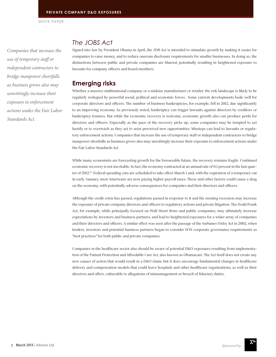*Companies that increase the use of temporary staff or independent contractors to bridge manpower shortfalls as business grows also may unwittingly increase their exposure to enforcement actions under the Fair Labor Standards Act.* 

### *The JOBS Act*

Signed into law by President Obama in April, the JOB Act is intended to stimulate growth by making it easier for companies to raise money, and to reduce onerous disclosure requirements for smaller businesses. In doing so, the distinctions between public and private companies are blurred, potentially resulting in heightened exposure to lawsuits for company officers and board members.

### **Emerging risks**

Whether a massive multinational company or a midsize manufacturer or retailer, the risk landscape is likely to be regularly reshaped by powerful social, political and economic forces. Some current developments bode well for corporate directors and officers. The number of business bankruptcies, for example, fell in 2012, due significantly to an improving economy. As previously noted, bankruptcy can trigger lawsuits against directors by creditors or bankruptcy trustees. But while the economic recovery is welcome, economic growth also can produce perils for directors and officers. Especially as the pace of the recovery picks up, some companies may be tempted to act hastily or to overreach as they act to seize perceived new opportunities. Missteps can lead to lawsuits or regulatory enforcement actions. Companies that increase the use of temporary staff or independent contractors to bridge manpower shortfalls as business grows also may unwittingly increase their exposure to enforcement actions under the Fair Labor Standards Act.

While many economists are forecasting growth for the foreseeable future, the recovery remains fragile. Continued economic recovery is not inevitable. In fact, the economy contracted at an annual rate of 0.1 percent in the last quarter of 2012.13 Federal spending cuts are scheduled to take effect March 1 and, with the expiration of a temporary cut in early January, most Americans are now paying higher payroll taxes. These and other factors could cause a drag on the economy, with potentially adverse consequences for companies and their directors and officers.

Although the credit crisis has passed, regulations passed in response to it and the ensuing recession may increase the exposure of private company directors and officers to regulatory actions and private litigation. The Dodd Frank Act, for example, while principally focused on Wall Street firms and public companies, may ultimately increase expectations by investors and business partners, and lead to heightened exposures for a wider array of companies and their directors and officers. A similar effect was seen after the passage of the Sarbanes Oxley Act in 2002, when lenders, investors and potential business partners began to consider SOX corporate governance requirements as "best practices" for both public and private companies.

Companies in the healthcare sector also should be aware of potential D&O exposures resulting from implementation of the Patient Protection and Affordable Care Act, also known as Obamacare. The Act itself does not create any new causes of action that would result in a D&O claim, but it does encourage fundamental changes in healthcare delivery and compensation models that could leave hospitals and other healthcare organizations, as well as their directors and offers, vulnerable to allegations of mismanagement or breach of fiduciary duties.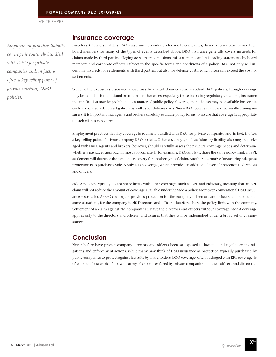*Employment practices liability coverage is routinely bundled with D&O for private companies and, in fact, is often a key selling point of private company D&O policies.*

#### **Insurance coverage**

Directors & Officers Liability (D&O) insurance provides protection to companies, their executive officers, and their board members for many of the types of events described above. D&O insurance generally covers insureds for claims made by third parties alleging acts, errors, omissions, misstatements and misleading statements by board members and corporate officers. Subject to the specific terms and conditions of a policy, D&O not only will indemnify insureds for settlements with third parties, but also for defense costs, which often can exceed the cost of settlements.

Some of the exposures discussed above may be excluded under some standard D&O policies, though coverage may be available for additional premium. In other cases, especially those involving regulatory violations, insurance indemnification may be prohibited as a matter of public policy. Coverage nonetheless may be available for certain costs associated with investigations as well as for defense costs. Since D&O policies can vary materially among insurers, it is important that agents and brokers carefully evaluate policy forms to assure that coverage is appropriate to each client's exposures

Employment practices liability coverage is routinely bundled with D&O for private companies and, in fact, is often a key selling point of private company D&O policies. Other coverages, such as fiduciary liability, also may be packaged with D&O. Agents and brokers, however, should carefully assess their clients' coverage needs and determine whether a packaged approach is most appropriate. If, for example, D&O and EPL share the same policy limit, an EPL settlement will decrease the available recovery for another type of claim. Another alternative for assuring adequate protection is to purchases Side-A only D&O coverage, which provides an additional layer of protection to directors and officers.

Side A policies typically do not share limits with other coverages such as EPL and Fiduciary, meaning that an EPL claim will not reduce the amount of coverage available under the Side A policy. Moreover, conventional D&O insurance – so-called A-B-C coverage – provides protection for the company's directors and officers, and also, under some situations, for the company itself. Directors and officers therefore share the policy limit with the company. Settlement of a claim against the company can leave the directors and officers without coverage. Side A coverage applies only to the directors and officers, and assures that they will be indemnified under a broad set of circumstances.

#### **Conclusion**

Never before have private company directors and officers been so exposed to lawsuits and regulatory investigations and enforcement actions. While many may think of D&O insurance as protection typically purchased by public companies to protect against lawsuits by shareholders, D&O coverage, often packaged with EPL coverage, is often be the best choice for a wide array of exposures faced by private companies and their officers and directors.